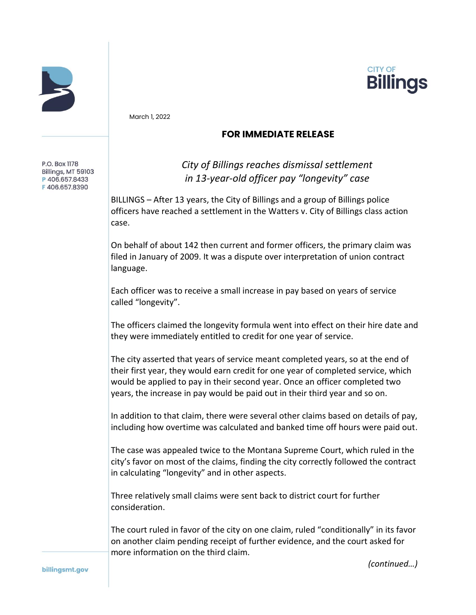



March 1, 2022

## **FOR IMMEDIATE RELEASE**

## *City of Billings reaches dismissal settlement in 13-year-old officer pay "longevity" case*

 BILLINGS – After 13 years, the City of Billings and a group of Billings police officers have reached a settlement in the Watters v. City of Billings class action case.

 On behalf of about 142 then current and former officers, the primary claim was filed in January of 2009. It was a dispute over interpretation of union contract language.

 Each officer was to receive a small increase in pay based on years of service called "longevity".

 The officers claimed the longevity formula went into effect on their hire date and they were immediately entitled to credit for one year of service.

 The city asserted that years of service meant completed years, so at the end of their first year, they would earn credit for one year of completed service, which would be applied to pay in their second year. Once an officer completed two years, the increase in pay would be paid out in their third year and so on.

 In addition to that claim, there were several other claims based on details of pay, including how overtime was calculated and banked time off hours were paid out.

 The case was appealed twice to the Montana Supreme Court, which ruled in the city's favor on most of the claims, finding the city correctly followed the contract in calculating "longevity" and in other aspects.

 Three relatively small claims were sent back to district court for further consideration.

 The court ruled in favor of the city on one claim, ruled "conditionally" in its favor on another claim pending receipt of further evidence, and the court asked for more information on the third claim.

*(continued…)*

P.O. Box 1178 Billings, MT 59103 P406.657.8433 F406.657.8390